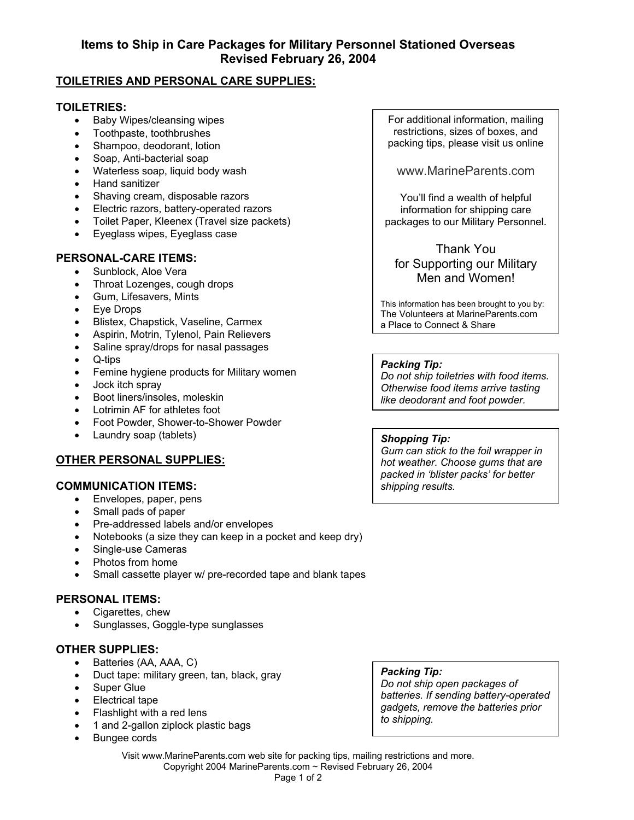# **TOILETRIES AND PERSONAL CARE SUPPLIES:**

## **TOILETRIES:**

- Baby Wipes/cleansing wipes
- Toothpaste, toothbrushes
- Shampoo, deodorant, lotion
- Soap, Anti-bacterial soap
- Waterless soap, liquid body wash
- Hand sanitizer
- Shaving cream, disposable razors
- Electric razors, battery-operated razors
- Toilet Paper, Kleenex (Travel size packets)
- Eyeglass wipes, Eyeglass case

## **PERSONAL-CARE ITEMS:**

- Sunblock, Aloe Vera
- Throat Lozenges, cough drops
- Gum, Lifesavers, Mints
- Eye Drops
- Blistex, Chapstick, Vaseline, Carmex
- Aspirin, Motrin, Tylenol, Pain Relievers
- Saline spray/drops for nasal passages
- Q-tips
- Femine hygiene products for Military women
- Jock itch spray
- Boot liners/insoles, moleskin
- Lotrimin AF for athletes foot
- Foot Powder, Shower-to-Shower Powder
- Laundry soap (tablets)

# **OTHER PERSONAL SUPPLIES:**

# **COMMUNICATION ITEMS:**

- Envelopes, paper, pens
- Small pads of paper
- Pre-addressed labels and/or envelopes
- Notebooks (a size they can keep in a pocket and keep dry)
- Single-use Cameras
- Photos from home
- Small cassette player w/ pre-recorded tape and blank tapes

### **PERSONAL ITEMS:**

- Cigarettes, chew
- Sunglasses, Goggle-type sunglasses

# **OTHER SUPPLIES:**

- Batteries (AA, AAA, C)
- Duct tape: military green, tan, black, gray
- Super Glue
- Electrical tape
- Flashlight with a red lens
- 1 and 2-gallon ziplock plastic bags
- Bungee cords

For additional information, mailing restrictions, sizes of boxes, and packing tips, please visit us online

www.MarineParents.com

You'll find a wealth of helpful information for shipping care packages to our Military Personnel.

# Thank You for Supporting our Military Men and Women!

This information has been brought to you by: The Volunteers at MarineParents.com a Place to Connect & Share

#### *Packing Tip:*

*Do not ship toiletries with food items. Otherwise food items arrive tasting like deodorant and foot powder.* 

#### *Shopping Tip:*

*Gum can stick to the foil wrapper in hot weather. Choose gums that are packed in 'blister packs' for better shipping results.* 

Visit www.MarineParents.com web site for packing tips, mailing restrictions and more. Copyright 2004 MarineParents.com ~ Revised February 26, 2004

*batteries. If sending battery-operated gadgets, remove the batteries prior* 

# *Packing Tip:*

*Do not ship open packages of to shipping.*